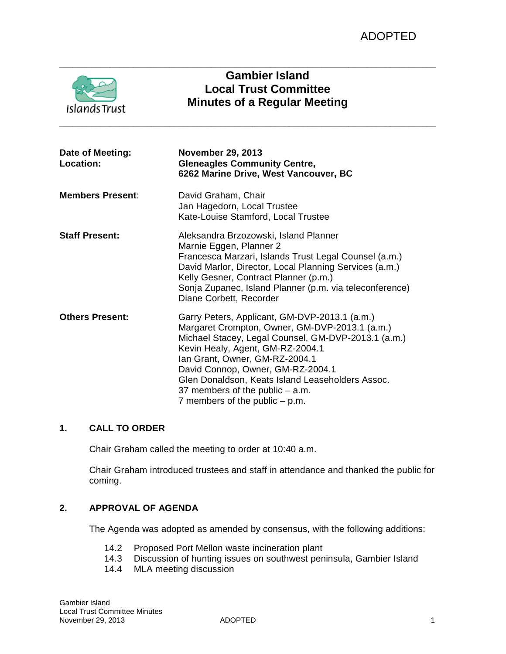| <b>IslandsTrust</b>           | <b>Gambier Island</b><br><b>Local Trust Committee</b><br><b>Minutes of a Regular Meeting</b>                                                                                                                                                                                                                                                                                                   |
|-------------------------------|------------------------------------------------------------------------------------------------------------------------------------------------------------------------------------------------------------------------------------------------------------------------------------------------------------------------------------------------------------------------------------------------|
| Date of Meeting:<br>Location: | <b>November 29, 2013</b><br><b>Gleneagles Community Centre,</b><br>6262 Marine Drive, West Vancouver, BC                                                                                                                                                                                                                                                                                       |
| <b>Members Present:</b>       | David Graham, Chair<br>Jan Hagedorn, Local Trustee<br>Kate-Louise Stamford, Local Trustee                                                                                                                                                                                                                                                                                                      |
| <b>Staff Present:</b>         | Aleksandra Brzozowski, Island Planner<br>Marnie Eggen, Planner 2<br>Francesca Marzari, Islands Trust Legal Counsel (a.m.)<br>David Marlor, Director, Local Planning Services (a.m.)<br>Kelly Gesner, Contract Planner (p.m.)<br>Sonja Zupanec, Island Planner (p.m. via teleconference)<br>Diane Corbett, Recorder                                                                             |
| <b>Others Present:</b>        | Garry Peters, Applicant, GM-DVP-2013.1 (a.m.)<br>Margaret Crompton, Owner, GM-DVP-2013.1 (a.m.)<br>Michael Stacey, Legal Counsel, GM-DVP-2013.1 (a.m.)<br>Kevin Healy, Agent, GM-RZ-2004.1<br>Ian Grant, Owner, GM-RZ-2004.1<br>David Connop, Owner, GM-RZ-2004.1<br>Glen Donaldson, Keats Island Leaseholders Assoc.<br>37 members of the public $-$ a.m.<br>7 members of the public $-$ p.m. |

# **1. CALL TO ORDER**

Chair Graham called the meeting to order at 10:40 a.m.

Chair Graham introduced trustees and staff in attendance and thanked the public for coming.

## **2. APPROVAL OF AGENDA**

The Agenda was adopted as amended by consensus, with the following additions:

- 14.2 Proposed Port Mellon waste incineration plant<br>14.3 Discussion of hunting issues on southwest pen
- 14.3 Discussion of hunting issues on southwest peninsula, Gambier Island<br>14.4 MLA meeting discussion
- MLA meeting discussion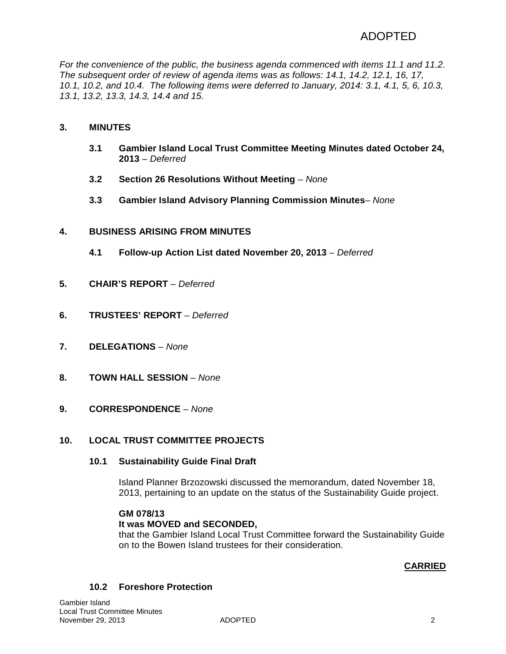# ADOPTED

*For the convenience of the public, the business agenda commenced with items 11.1 and 11.2. The subsequent order of review of agenda items was as follows: 14.1, 14.2, 12.1, 16, 17, 10.1, 10.2, and 10.4. The following items were deferred to January, 2014: 3.1, 4.1, 5, 6, 10.3, 13.1, 13.2, 13.3, 14.3, 14.4 and 15.*

# **3. MINUTES**

- **3.1 Gambier Island Local Trust Committee Meeting Minutes dated October 24, 2013** *– Deferred*
- **3.2 Section 26 Resolutions Without Meeting** *None*
- **3.3 Gambier Island Advisory Planning Commission Minutes** *None*

## **4. BUSINESS ARISING FROM MINUTES**

- **4.1 Follow-up Action List dated November 20, 2013** *– Deferred*
- **5. CHAIR'S REPORT** *– Deferred*
- **6. TRUSTEES' REPORT** *– Deferred*
- **7. DELEGATIONS** *– None*
- **8. TOWN HALL SESSION** *– None*
- **9. CORRESPONDENCE** *– None*

### **10. LOCAL TRUST COMMITTEE PROJECTS**

### **10.1 Sustainability Guide Final Draft**

Island Planner Brzozowski discussed the memorandum, dated November 18, 2013, pertaining to an update on the status of the Sustainability Guide project.

### **GM 078/13**

### **It was MOVED and SECONDED,**

that the Gambier Island Local Trust Committee forward the Sustainability Guide on to the Bowen Island trustees for their consideration.

### **CARRIED**

### **10.2 Foreshore Protection**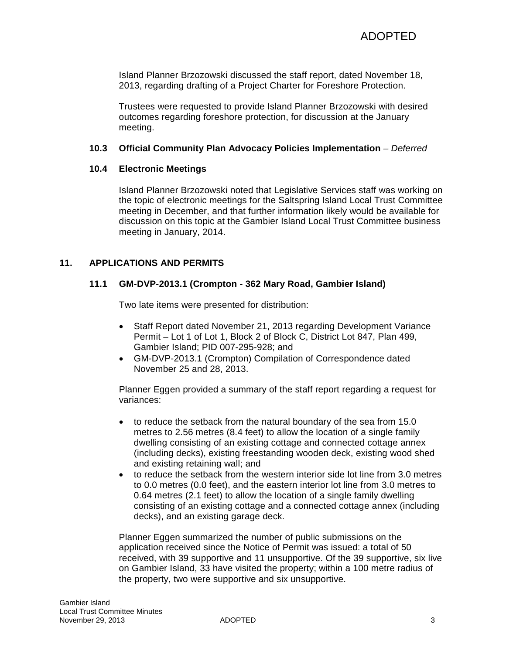Island Planner Brzozowski discussed the staff report, dated November 18, 2013, regarding drafting of a Project Charter for Foreshore Protection.

Trustees were requested to provide Island Planner Brzozowski with desired outcomes regarding foreshore protection, for discussion at the January meeting.

### **10.3 Official Community Plan Advocacy Policies Implementation** *– Deferred*

## **10.4 Electronic Meetings**

Island Planner Brzozowski noted that Legislative Services staff was working on the topic of electronic meetings for the Saltspring Island Local Trust Committee meeting in December, and that further information likely would be available for discussion on this topic at the Gambier Island Local Trust Committee business meeting in January, 2014.

# **11. APPLICATIONS AND PERMITS**

# **11.1 GM-DVP-2013.1 (Crompton - 362 Mary Road, Gambier Island)**

Two late items were presented for distribution:

- Staff Report dated November 21, 2013 regarding Development Variance Permit – Lot 1 of Lot 1, Block 2 of Block C, District Lot 847, Plan 499, Gambier Island; PID 007-295-928; and
- GM-DVP-2013.1 (Crompton) Compilation of Correspondence dated November 25 and 28, 2013.

Planner Eggen provided a summary of the staff report regarding a request for variances:

- to reduce the setback from the natural boundary of the sea from 15.0 metres to 2.56 metres (8.4 feet) to allow the location of a single family dwelling consisting of an existing cottage and connected cottage annex (including decks), existing freestanding wooden deck, existing wood shed and existing retaining wall; and
- to reduce the setback from the western interior side lot line from 3.0 metres to 0.0 metres (0.0 feet), and the eastern interior lot line from 3.0 metres to 0.64 metres (2.1 feet) to allow the location of a single family dwelling consisting of an existing cottage and a connected cottage annex (including decks), and an existing garage deck.

Planner Eggen summarized the number of public submissions on the application received since the Notice of Permit was issued: a total of 50 received, with 39 supportive and 11 unsupportive. Of the 39 supportive, six live on Gambier Island, 33 have visited the property; within a 100 metre radius of the property, two were supportive and six unsupportive.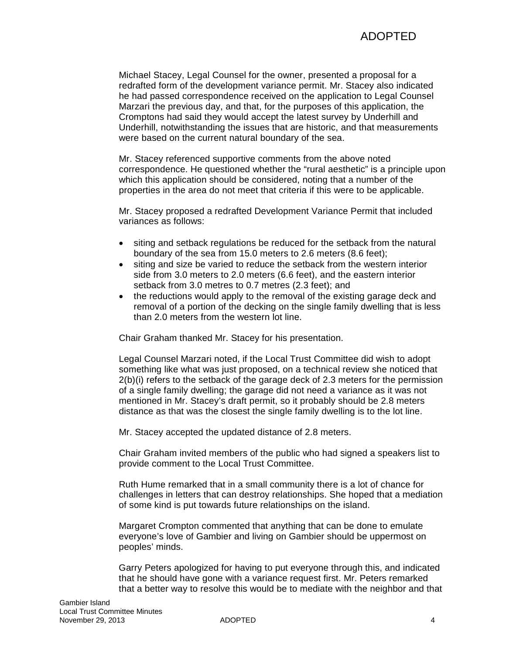Michael Stacey, Legal Counsel for the owner, presented a proposal for a redrafted form of the development variance permit. Mr. Stacey also indicated he had passed correspondence received on the application to Legal Counsel Marzari the previous day, and that, for the purposes of this application, the Cromptons had said they would accept the latest survey by Underhill and Underhill, notwithstanding the issues that are historic, and that measurements were based on the current natural boundary of the sea.

Mr. Stacey referenced supportive comments from the above noted correspondence. He questioned whether the "rural aesthetic" is a principle upon which this application should be considered, noting that a number of the properties in the area do not meet that criteria if this were to be applicable.

Mr. Stacey proposed a redrafted Development Variance Permit that included variances as follows:

- siting and setback regulations be reduced for the setback from the natural boundary of the sea from 15.0 meters to 2.6 meters (8.6 feet);
- siting and size be varied to reduce the setback from the western interior side from 3.0 meters to 2.0 meters (6.6 feet), and the eastern interior setback from 3.0 metres to 0.7 metres (2.3 feet); and
- the reductions would apply to the removal of the existing garage deck and removal of a portion of the decking on the single family dwelling that is less than 2.0 meters from the western lot line.

Chair Graham thanked Mr. Stacey for his presentation.

Legal Counsel Marzari noted, if the Local Trust Committee did wish to adopt something like what was just proposed, on a technical review she noticed that 2(b)(i) refers to the setback of the garage deck of 2.3 meters for the permission of a single family dwelling; the garage did not need a variance as it was not mentioned in Mr. Stacey's draft permit, so it probably should be 2.8 meters distance as that was the closest the single family dwelling is to the lot line.

Mr. Stacey accepted the updated distance of 2.8 meters.

Chair Graham invited members of the public who had signed a speakers list to provide comment to the Local Trust Committee.

Ruth Hume remarked that in a small community there is a lot of chance for challenges in letters that can destroy relationships. She hoped that a mediation of some kind is put towards future relationships on the island.

Margaret Crompton commented that anything that can be done to emulate everyone's love of Gambier and living on Gambier should be uppermost on peoples' minds.

Garry Peters apologized for having to put everyone through this, and indicated that he should have gone with a variance request first. Mr. Peters remarked that a better way to resolve this would be to mediate with the neighbor and that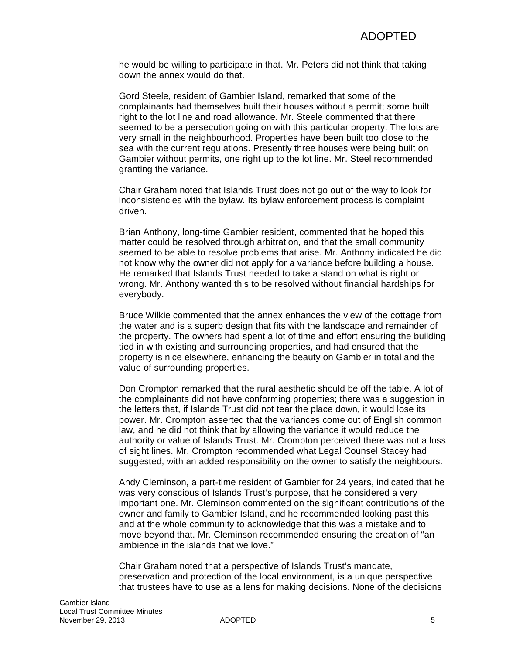he would be willing to participate in that. Mr. Peters did not think that taking down the annex would do that.

Gord Steele, resident of Gambier Island, remarked that some of the complainants had themselves built their houses without a permit; some built right to the lot line and road allowance. Mr. Steele commented that there seemed to be a persecution going on with this particular property. The lots are very small in the neighbourhood. Properties have been built too close to the sea with the current regulations. Presently three houses were being built on Gambier without permits, one right up to the lot line. Mr. Steel recommended granting the variance.

Chair Graham noted that Islands Trust does not go out of the way to look for inconsistencies with the bylaw. Its bylaw enforcement process is complaint driven.

Brian Anthony, long-time Gambier resident, commented that he hoped this matter could be resolved through arbitration, and that the small community seemed to be able to resolve problems that arise. Mr. Anthony indicated he did not know why the owner did not apply for a variance before building a house. He remarked that Islands Trust needed to take a stand on what is right or wrong. Mr. Anthony wanted this to be resolved without financial hardships for everybody.

Bruce Wilkie commented that the annex enhances the view of the cottage from the water and is a superb design that fits with the landscape and remainder of the property. The owners had spent a lot of time and effort ensuring the building tied in with existing and surrounding properties, and had ensured that the property is nice elsewhere, enhancing the beauty on Gambier in total and the value of surrounding properties.

Don Crompton remarked that the rural aesthetic should be off the table. A lot of the complainants did not have conforming properties; there was a suggestion in the letters that, if Islands Trust did not tear the place down, it would lose its power. Mr. Crompton asserted that the variances come out of English common law, and he did not think that by allowing the variance it would reduce the authority or value of Islands Trust. Mr. Crompton perceived there was not a loss of sight lines. Mr. Crompton recommended what Legal Counsel Stacey had suggested, with an added responsibility on the owner to satisfy the neighbours.

Andy Cleminson, a part-time resident of Gambier for 24 years, indicated that he was very conscious of Islands Trust's purpose, that he considered a very important one. Mr. Cleminson commented on the significant contributions of the owner and family to Gambier Island, and he recommended looking past this and at the whole community to acknowledge that this was a mistake and to move beyond that. Mr. Cleminson recommended ensuring the creation of "an ambience in the islands that we love."

Chair Graham noted that a perspective of Islands Trust's mandate, preservation and protection of the local environment, is a unique perspective that trustees have to use as a lens for making decisions. None of the decisions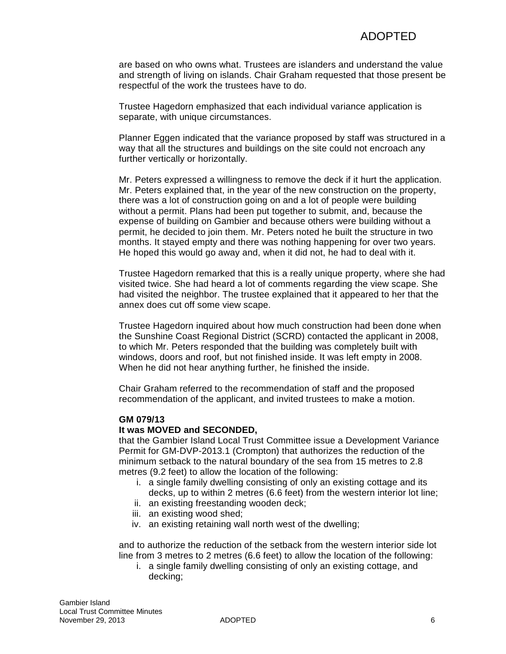are based on who owns what. Trustees are islanders and understand the value and strength of living on islands. Chair Graham requested that those present be respectful of the work the trustees have to do.

Trustee Hagedorn emphasized that each individual variance application is separate, with unique circumstances.

Planner Eggen indicated that the variance proposed by staff was structured in a way that all the structures and buildings on the site could not encroach any further vertically or horizontally.

Mr. Peters expressed a willingness to remove the deck if it hurt the application. Mr. Peters explained that, in the year of the new construction on the property, there was a lot of construction going on and a lot of people were building without a permit. Plans had been put together to submit, and, because the expense of building on Gambier and because others were building without a permit, he decided to join them. Mr. Peters noted he built the structure in two months. It stayed empty and there was nothing happening for over two years. He hoped this would go away and, when it did not, he had to deal with it.

Trustee Hagedorn remarked that this is a really unique property, where she had visited twice. She had heard a lot of comments regarding the view scape. She had visited the neighbor. The trustee explained that it appeared to her that the annex does cut off some view scape.

Trustee Hagedorn inquired about how much construction had been done when the Sunshine Coast Regional District (SCRD) contacted the applicant in 2008, to which Mr. Peters responded that the building was completely built with windows, doors and roof, but not finished inside. It was left empty in 2008. When he did not hear anything further, he finished the inside.

Chair Graham referred to the recommendation of staff and the proposed recommendation of the applicant, and invited trustees to make a motion.

### **GM 079/13**

### **It was MOVED and SECONDED,**

that the Gambier Island Local Trust Committee issue a Development Variance Permit for GM-DVP-2013.1 (Crompton) that authorizes the reduction of the minimum setback to the natural boundary of the sea from 15 metres to 2.8 metres (9.2 feet) to allow the location of the following:

- i. a single family dwelling consisting of only an existing cottage and its decks, up to within 2 metres (6.6 feet) from the western interior lot line;
- ii. an existing freestanding wooden deck;
- iii. an existing wood shed;
- iv. an existing retaining wall north west of the dwelling;

and to authorize the reduction of the setback from the western interior side lot line from 3 metres to 2 metres (6.6 feet) to allow the location of the following:

i. a single family dwelling consisting of only an existing cottage, and decking;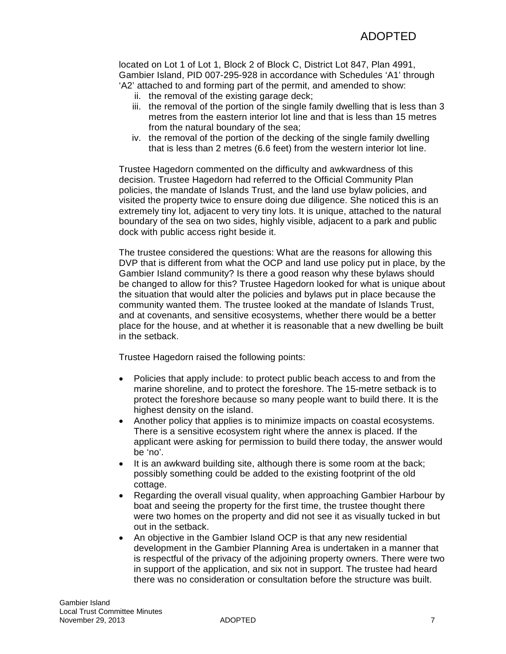located on Lot 1 of Lot 1, Block 2 of Block C, District Lot 847, Plan 4991, Gambier Island, PID 007-295-928 in accordance with Schedules 'A1' through 'A2' attached to and forming part of the permit, and amended to show:

- ii. the removal of the existing garage deck;
- iii. the removal of the portion of the single family dwelling that is less than 3 metres from the eastern interior lot line and that is less than 15 metres from the natural boundary of the sea;
- iv. the removal of the portion of the decking of the single family dwelling that is less than 2 metres (6.6 feet) from the western interior lot line.

Trustee Hagedorn commented on the difficulty and awkwardness of this decision. Trustee Hagedorn had referred to the Official Community Plan policies, the mandate of Islands Trust, and the land use bylaw policies, and visited the property twice to ensure doing due diligence. She noticed this is an extremely tiny lot, adjacent to very tiny lots. It is unique, attached to the natural boundary of the sea on two sides, highly visible, adjacent to a park and public dock with public access right beside it.

The trustee considered the questions: What are the reasons for allowing this DVP that is different from what the OCP and land use policy put in place, by the Gambier Island community? Is there a good reason why these bylaws should be changed to allow for this? Trustee Hagedorn looked for what is unique about the situation that would alter the policies and bylaws put in place because the community wanted them. The trustee looked at the mandate of Islands Trust, and at covenants, and sensitive ecosystems, whether there would be a better place for the house, and at whether it is reasonable that a new dwelling be built in the setback.

Trustee Hagedorn raised the following points:

- Policies that apply include: to protect public beach access to and from the marine shoreline, and to protect the foreshore. The 15-metre setback is to protect the foreshore because so many people want to build there. It is the highest density on the island.
- Another policy that applies is to minimize impacts on coastal ecosystems. There is a sensitive ecosystem right where the annex is placed. If the applicant were asking for permission to build there today, the answer would be 'no'.
- It is an awkward building site, although there is some room at the back; possibly something could be added to the existing footprint of the old cottage.
- Regarding the overall visual quality, when approaching Gambier Harbour by boat and seeing the property for the first time, the trustee thought there were two homes on the property and did not see it as visually tucked in but out in the setback.
- An objective in the Gambier Island OCP is that any new residential development in the Gambier Planning Area is undertaken in a manner that is respectful of the privacy of the adjoining property owners. There were two in support of the application, and six not in support. The trustee had heard there was no consideration or consultation before the structure was built.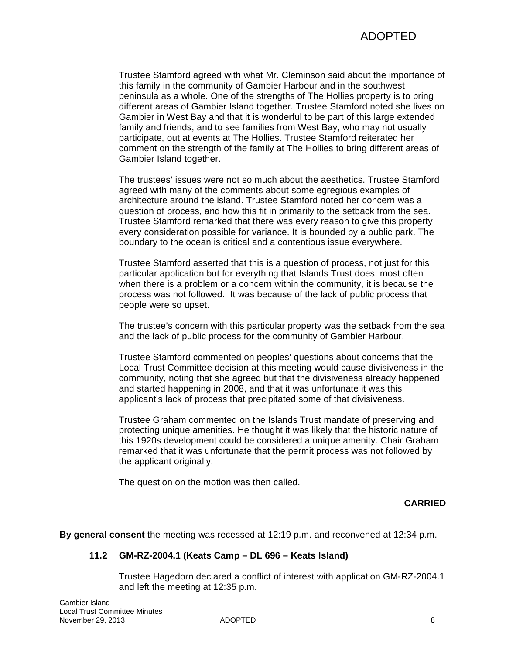Trustee Stamford agreed with what Mr. Cleminson said about the importance of this family in the community of Gambier Harbour and in the southwest peninsula as a whole. One of the strengths of The Hollies property is to bring different areas of Gambier Island together. Trustee Stamford noted she lives on Gambier in West Bay and that it is wonderful to be part of this large extended family and friends, and to see families from West Bay, who may not usually participate, out at events at The Hollies. Trustee Stamford reiterated her comment on the strength of the family at The Hollies to bring different areas of Gambier Island together.

The trustees' issues were not so much about the aesthetics. Trustee Stamford agreed with many of the comments about some egregious examples of architecture around the island. Trustee Stamford noted her concern was a question of process, and how this fit in primarily to the setback from the sea. Trustee Stamford remarked that there was every reason to give this property every consideration possible for variance. It is bounded by a public park. The boundary to the ocean is critical and a contentious issue everywhere.

Trustee Stamford asserted that this is a question of process, not just for this particular application but for everything that Islands Trust does: most often when there is a problem or a concern within the community, it is because the process was not followed. It was because of the lack of public process that people were so upset.

The trustee's concern with this particular property was the setback from the sea and the lack of public process for the community of Gambier Harbour.

Trustee Stamford commented on peoples' questions about concerns that the Local Trust Committee decision at this meeting would cause divisiveness in the community, noting that she agreed but that the divisiveness already happened and started happening in 2008, and that it was unfortunate it was this applicant's lack of process that precipitated some of that divisiveness.

Trustee Graham commented on the Islands Trust mandate of preserving and protecting unique amenities. He thought it was likely that the historic nature of this 1920s development could be considered a unique amenity. Chair Graham remarked that it was unfortunate that the permit process was not followed by the applicant originally.

The question on the motion was then called.

# **CARRIED**

**By general consent** the meeting was recessed at 12:19 p.m. and reconvened at 12:34 p.m.

### **11.2 GM-RZ-2004.1 (Keats Camp – DL 696 – Keats Island)**

Trustee Hagedorn declared a conflict of interest with application GM-RZ-2004.1 and left the meeting at 12:35 p.m.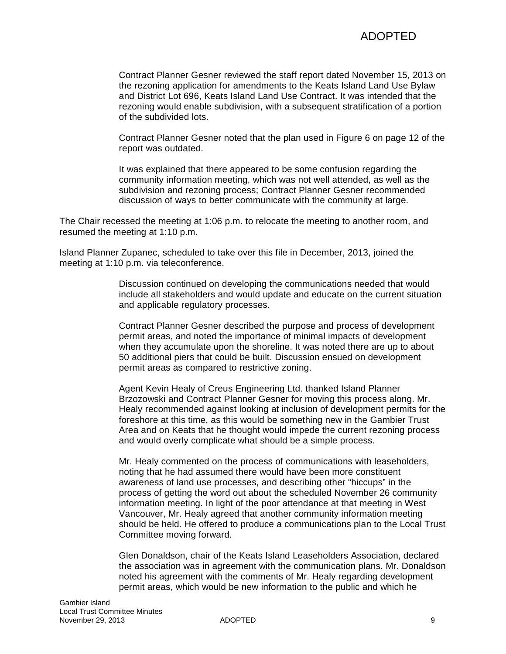Contract Planner Gesner reviewed the staff report dated November 15, 2013 on the rezoning application for amendments to the Keats Island Land Use Bylaw and District Lot 696, Keats Island Land Use Contract. It was intended that the rezoning would enable subdivision, with a subsequent stratification of a portion of the subdivided lots.

Contract Planner Gesner noted that the plan used in Figure 6 on page 12 of the report was outdated.

It was explained that there appeared to be some confusion regarding the community information meeting, which was not well attended, as well as the subdivision and rezoning process; Contract Planner Gesner recommended discussion of ways to better communicate with the community at large.

The Chair recessed the meeting at 1:06 p.m. to relocate the meeting to another room, and resumed the meeting at 1:10 p.m.

Island Planner Zupanec, scheduled to take over this file in December, 2013, joined the meeting at 1:10 p.m. via teleconference.

> Discussion continued on developing the communications needed that would include all stakeholders and would update and educate on the current situation and applicable regulatory processes.

Contract Planner Gesner described the purpose and process of development permit areas, and noted the importance of minimal impacts of development when they accumulate upon the shoreline. It was noted there are up to about 50 additional piers that could be built. Discussion ensued on development permit areas as compared to restrictive zoning.

Agent Kevin Healy of Creus Engineering Ltd. thanked Island Planner Brzozowski and Contract Planner Gesner for moving this process along. Mr. Healy recommended against looking at inclusion of development permits for the foreshore at this time, as this would be something new in the Gambier Trust Area and on Keats that he thought would impede the current rezoning process and would overly complicate what should be a simple process.

Mr. Healy commented on the process of communications with leaseholders, noting that he had assumed there would have been more constituent awareness of land use processes, and describing other "hiccups" in the process of getting the word out about the scheduled November 26 community information meeting. In light of the poor attendance at that meeting in West Vancouver, Mr. Healy agreed that another community information meeting should be held. He offered to produce a communications plan to the Local Trust Committee moving forward.

Glen Donaldson, chair of the Keats Island Leaseholders Association, declared the association was in agreement with the communication plans. Mr. Donaldson noted his agreement with the comments of Mr. Healy regarding development permit areas, which would be new information to the public and which he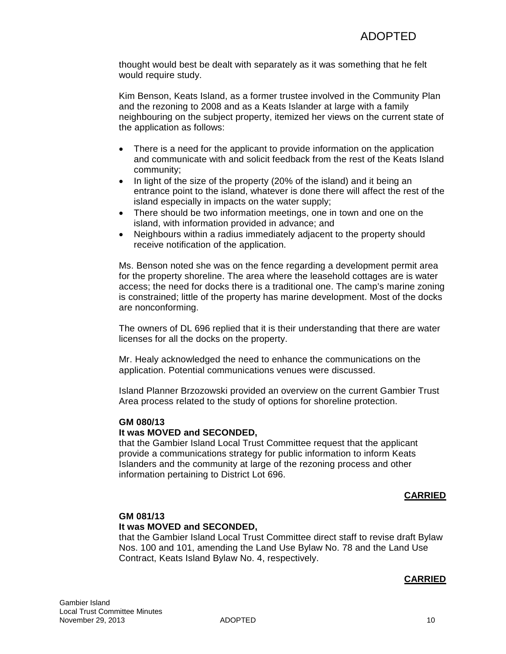thought would best be dealt with separately as it was something that he felt would require study.

Kim Benson, Keats Island, as a former trustee involved in the Community Plan and the rezoning to 2008 and as a Keats Islander at large with a family neighbouring on the subject property, itemized her views on the current state of the application as follows:

- There is a need for the applicant to provide information on the application and communicate with and solicit feedback from the rest of the Keats Island community;
- In light of the size of the property (20% of the island) and it being an entrance point to the island, whatever is done there will affect the rest of the island especially in impacts on the water supply;
- There should be two information meetings, one in town and one on the island, with information provided in advance; and
- Neighbours within a radius immediately adjacent to the property should receive notification of the application.

Ms. Benson noted she was on the fence regarding a development permit area for the property shoreline. The area where the leasehold cottages are is water access; the need for docks there is a traditional one. The camp's marine zoning is constrained; little of the property has marine development. Most of the docks are nonconforming.

The owners of DL 696 replied that it is their understanding that there are water licenses for all the docks on the property.

Mr. Healy acknowledged the need to enhance the communications on the application. Potential communications venues were discussed.

Island Planner Brzozowski provided an overview on the current Gambier Trust Area process related to the study of options for shoreline protection.

### **GM 080/13 It was MOVED and SECONDED,**

that the Gambier Island Local Trust Committee request that the applicant provide a communications strategy for public information to inform Keats Islanders and the community at large of the rezoning process and other information pertaining to District Lot 696.

# **CARRIED**

# **GM 081/13 It was MOVED and SECONDED,**

that the Gambier Island Local Trust Committee direct staff to revise draft Bylaw Nos. 100 and 101, amending the Land Use Bylaw No. 78 and the Land Use Contract, Keats Island Bylaw No. 4, respectively.

# **CARRIED**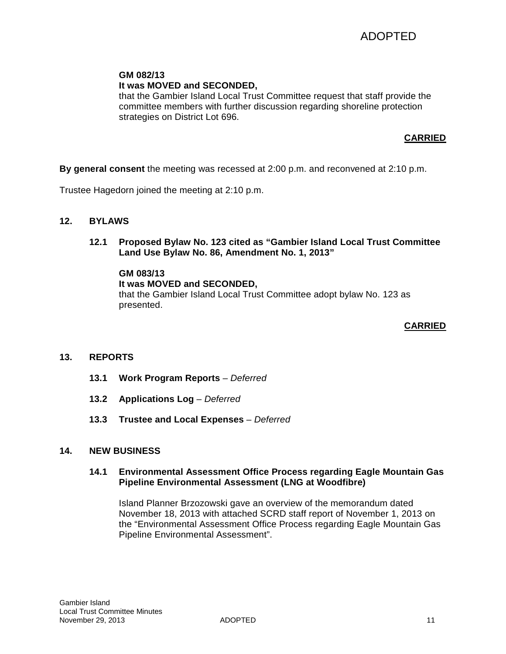# **GM 082/13**

# **It was MOVED and SECONDED,**

that the Gambier Island Local Trust Committee request that staff provide the committee members with further discussion regarding shoreline protection strategies on District Lot 696.

# **CARRIED**

**By general consent** the meeting was recessed at 2:00 p.m. and reconvened at 2:10 p.m.

Trustee Hagedorn joined the meeting at 2:10 p.m.

- **12. BYLAWS**
	- **12.1 Proposed Bylaw No. 123 cited as "Gambier Island Local Trust Committee Land Use Bylaw No. 86, Amendment No. 1, 2013"**

### **GM 083/13**

**It was MOVED and SECONDED,** that the Gambier Island Local Trust Committee adopt bylaw No. 123 as presented.

## **CARRIED**

# **13. REPORTS**

- **13.1 Work Program Reports** *– Deferred*
- **13.2 Applications Log** *– Deferred*
- **13.3 Trustee and Local Expenses** *– Deferred*

### **14. NEW BUSINESS**

### **14.1 Environmental Assessment Office Process regarding Eagle Mountain Gas Pipeline Environmental Assessment (LNG at Woodfibre)**

Island Planner Brzozowski gave an overview of the memorandum dated November 18, 2013 with attached SCRD staff report of November 1, 2013 on the "Environmental Assessment Office Process regarding Eagle Mountain Gas Pipeline Environmental Assessment".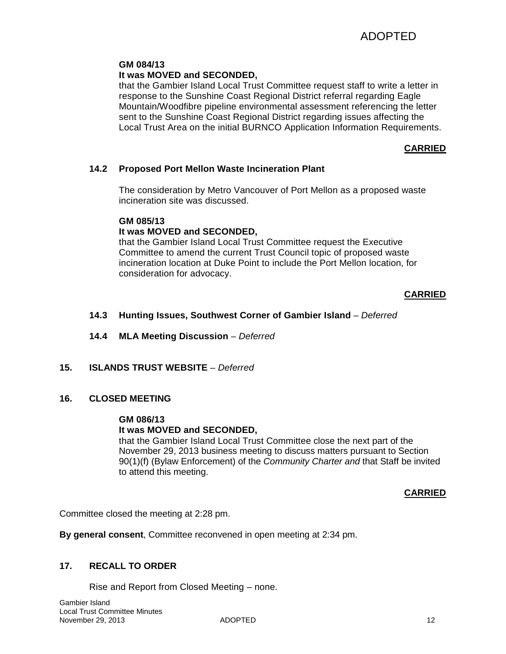# **GM 084/13**

# **It was MOVED and SECONDED,**

that the Gambier Island Local Trust Committee request staff to write a letter in response to the Sunshine Coast Regional District referral regarding Eagle Mountain/Woodfibre pipeline environmental assessment referencing the letter sent to the Sunshine Coast Regional District regarding issues affecting the Local Trust Area on the initial BURNCO Application Information Requirements.

# **CARRIED**

## **14.2 Proposed Port Mellon Waste Incineration Plant**

The consideration by Metro Vancouver of Port Mellon as a proposed waste incineration site was discussed.

### **GM 085/13**

# **It was MOVED and SECONDED,**

that the Gambier Island Local Trust Committee request the Executive Committee to amend the current Trust Council topic of proposed waste incineration location at Duke Point to include the Port Mellon location, for consideration for advocacy.

## **CARRIED**

## **14.3 Hunting Issues, Southwest Corner of Gambier Island** – *Deferred*

**14.4 MLA Meeting Discussion** *– Deferred* 

**15. ISLANDS TRUST WEBSITE** – *Deferred* 

### **16. CLOSED MEETING**

### **GM 086/13**

# **It was MOVED and SECONDED,**

that the Gambier Island Local Trust Committee close the next part of the November 29, 2013 business meeting to discuss matters pursuant to Section 90(1)(f) (Bylaw Enforcement) of the *Community Charter and* that Staff be invited to attend this meeting.

### **CARRIED**

Committee closed the meeting at 2:28 pm.

**By general consent**, Committee reconvened in open meeting at 2:34 pm.

# **17. RECALL TO ORDER**

Rise and Report from Closed Meeting – none.